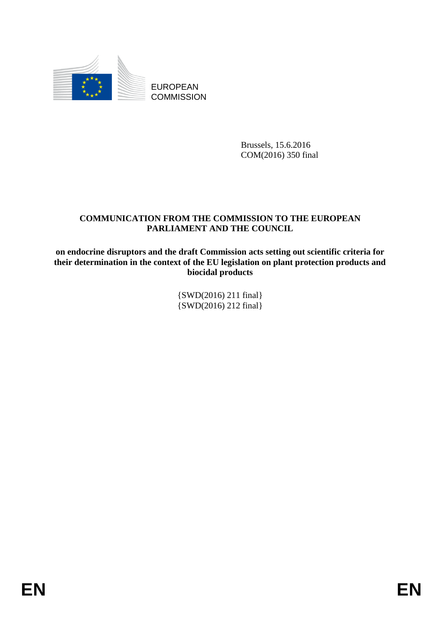

EUROPEAN **COMMISSION** 

> Brussels, 15.6.2016 COM(2016) 350 final

# **COMMUNICATION FROM THE COMMISSION TO THE EUROPEAN PARLIAMENT AND THE COUNCIL**

**on endocrine disruptors and the draft Commission acts setting out scientific criteria for their determination in the context of the EU legislation on plant protection products and biocidal products**

> {SWD(2016) 211 final} {SWD(2016) 212 final}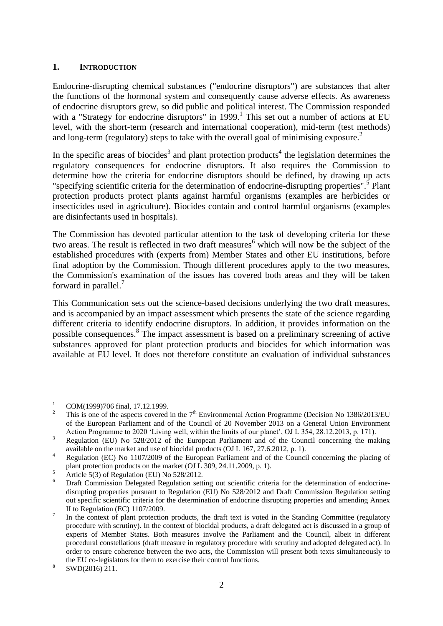### **1. INTRODUCTION**

Endocrine-disrupting chemical substances ("endocrine disruptors") are substances that alter the functions of the hormonal system and consequently cause adverse effects. As awareness of endocrine disruptors grew, so did public and political interest. The Commission responded with a "Strategy for endocrine disruptors" in 1999.<sup>1</sup> This set out a number of actions at EU level, with the short-term (research and international cooperation), mid-term (test methods) and long-term (regulatory) steps to take with the overall goal of minimising exposure.<sup>2</sup>

In the specific areas of biocides<sup>3</sup> and plant protection products<sup>4</sup> the legislation determines the regulatory consequences for endocrine disruptors. It also requires the Commission to determine how the criteria for endocrine disruptors should be defined, by drawing up acts "specifying scientific criteria for the determination of endocrine-disrupting properties".<sup>5</sup> Plant protection products protect plants against harmful organisms (examples are herbicides or insecticides used in agriculture). Biocides contain and control harmful organisms (examples are disinfectants used in hospitals).

The Commission has devoted particular attention to the task of developing criteria for these two areas. The result is reflected in two draft measures<sup>6</sup> which will now be the subject of the established procedures with (experts from) Member States and other EU institutions, before final adoption by the Commission. Though different procedures apply to the two measures, the Commission's examination of the issues has covered both areas and they will be taken forward in parallel.<sup>7</sup>

This Communication sets out the science-based decisions underlying the two draft measures, and is accompanied by an impact assessment which presents the state of the science regarding different criteria to identify endocrine disruptors. In addition, it provides information on the possible consequences.<sup>8</sup> The impact assessment is based on a preliminary screening of active substances approved for plant protection products and biocides for which information was available at EU level. It does not therefore constitute an evaluation of individual substances

 $\overline{1}$  $\frac{1}{2}$  COM(1999)706 final, 17.12.1999.

This is one of the aspects covered in the  $7<sup>th</sup>$  Environmental Action Programme (Decision No 1386/2013/EU) of the European Parliament and of the Council of 20 November 2013 on a General Union Environment Action Programme to 2020 'Living well, within the limits of our planet', OJ L 354, 28.12.2013, p. 171).

<sup>&</sup>lt;sup>3</sup> Regulation (EU) No 528/2012 of the European Parliament and of the Council concerning the making available on the market and use of biocidal products (OJ L 167, 27.6.2012, p. 1).

<sup>&</sup>lt;sup>4</sup> Regulation (EC) No 1107/2009 of the European Parliament and of the Council concerning the placing of plant protection products on the market (OJ L 309, 24.11.2009, p. 1).

 $\frac{5}{2}$  Article 5(3) of Regulation (EU) No 528/2012.

Draft Commission Delegated Regulation setting out scientific criteria for the determination of endocrinedisrupting properties pursuant to Regulation (EU) No 528/2012 and Draft Commission Regulation setting out specific scientific criteria for the determination of endocrine disrupting properties and amending Annex II to Regulation (EC) 1107/2009.

<sup>7</sup> In the context of plant protection products, the draft text is voted in the Standing Committee (regulatory procedure with scrutiny). In the context of biocidal products, a draft delegated act is discussed in a group of experts of Member States. Both measures involve the Parliament and the Council, albeit in different procedural constellations (draft measure in regulatory procedure with scrutiny and adopted delegated act). In order to ensure coherence between the two acts, the Commission will present both texts simultaneously to the EU co-legislators for them to exercise their control functions.

<sup>8</sup> SWD(2016) 211.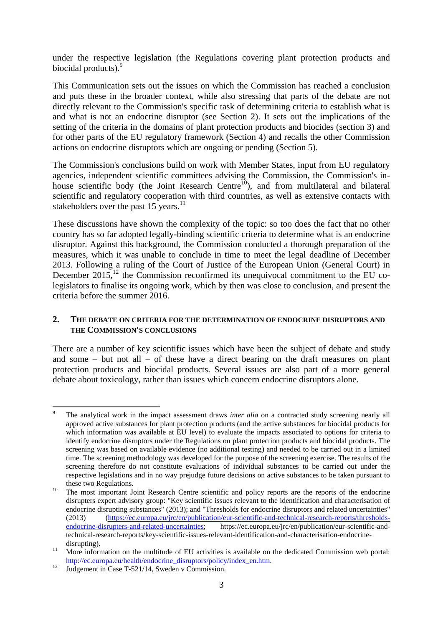under the respective legislation (the Regulations covering plant protection products and biocidal products).<sup>9</sup>

This Communication sets out the issues on which the Commission has reached a conclusion and puts these in the broader context, while also stressing that parts of the debate are not directly relevant to the Commission's specific task of determining criteria to establish what is and what is not an endocrine disruptor (see Section 2). It sets out the implications of the setting of the criteria in the domains of plant protection products and biocides (section 3) and for other parts of the EU regulatory framework (Section 4) and recalls the other Commission actions on endocrine disruptors which are ongoing or pending (Section 5).

The Commission's conclusions build on work with Member States, input from EU regulatory agencies, independent scientific committees advising the Commission, the Commission's inhouse scientific body (the Joint Research Centre<sup>10</sup>), and from multilateral and bilateral scientific and regulatory cooperation with third countries, as well as extensive contacts with stakeholders over the past 15 years. $^{11}$ 

These discussions have shown the complexity of the topic: so too does the fact that no other country has so far adopted legally-binding scientific criteria to determine what is an endocrine disruptor. Against this background, the Commission conducted a thorough preparation of the measures, which it was unable to conclude in time to meet the legal deadline of December 2013. Following a ruling of the Court of Justice of the European Union (General Court) in December  $2015$ ,  $^{12}$  the Commission reconfirmed its unequivocal commitment to the EU colegislators to finalise its ongoing work, which by then was close to conclusion, and present the criteria before the summer 2016.

### **2. THE DEBATE ON CRITERIA FOR THE DETERMINATION OF ENDOCRINE DISRUPTORS AND THE COMMISSION'S CONCLUSIONS**

There are a number of key scientific issues which have been the subject of debate and study and some  $-$  but not all  $-$  of these have a direct bearing on the draft measures on plant protection products and biocidal products. Several issues are also part of a more general debate about toxicology, rather than issues which concern endocrine disruptors alone.

**<sup>.</sup>** <sup>9</sup> The analytical work in the impact assessment draws *inter alia* on a contracted study screening nearly all approved active substances for plant protection products (and the active substances for biocidal products for which information was available at EU level) to evaluate the impacts associated to options for criteria to identify endocrine disruptors under the Regulations on plant protection products and biocidal products. The screening was based on available evidence (no additional testing) and needed to be carried out in a limited time. The screening methodology was developed for the purpose of the screening exercise. The results of the screening therefore do not constitute evaluations of individual substances to be carried out under the respective legislations and in no way prejudge future decisions on active substances to be taken pursuant to these two Regulations.

<sup>&</sup>lt;sup>10</sup> The most important Joint Research Centre scientific and policy reports are the reports of the endocrine disrupters expert advisory group: "Key scientific issues relevant to the identification and characterisation of endocrine disrupting substances" (2013); and "Thresholds for endocrine disruptors and related uncertainties" (2013) (https://ec.europa.eu/jrc/en/publication/eur-scientific-and-technical-research-reports/thresholds-<br>endocrine-disrupters-and-related-uncertainties; https://ec.europa.eu/jrc/en/publication/eur-scientific-andhttps://ec.europa.eu/jrc/en/publication/eur-scientific-andtechnical-research-reports/key-scientific-issues-relevant-identification-and-characterisation-endocrinedisrupting).

<sup>&</sup>lt;sup>11</sup> More information on the multitude of EU activities is available on the dedicated Commission web portal: [http://ec.europa.eu/health/endocrine\\_disruptors/policy/index\\_en.htm.](http://ec.europa.eu/health/endocrine_disruptors/policy/index_en.htm)

 $12 \frac{12}{\text{Judeement in Case T-521/14. Sweden v Commission.}}$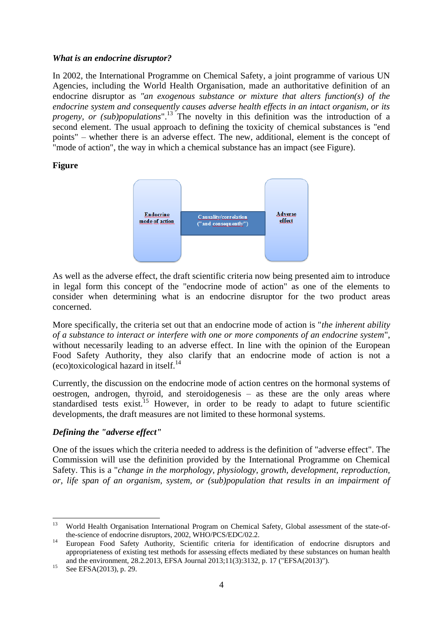#### *What is an endocrine disruptor?*

In 2002, the International Programme on Chemical Safety, a joint programme of various UN Agencies, including the World Health Organisation, made an authoritative definition of an endocrine disruptor as *"an exogenous substance or mixture that alters function(s) of the endocrine system and consequently causes adverse health effects in an intact organism, or its progeny, or (sub)populations*".<sup>13</sup> The novelty in this definition was the introduction of a second element. The usual approach to defining the toxicity of chemical substances is "end points" – whether there is an adverse effect. The new, additional, element is the concept of "mode of action", the way in which a chemical substance has an impact (see Figure).

### **Figure**



As well as the adverse effect, the draft scientific criteria now being presented aim to introduce in legal form this concept of the "endocrine mode of action" as one of the elements to consider when determining what is an endocrine disruptor for the two product areas concerned.

More specifically, the criteria set out that an endocrine mode of action is "*the inherent ability of a substance to interact or interfere with one or more components of an endocrine system*", without necessarily leading to an adverse effect. In line with the opinion of the European Food Safety Authority, they also clarify that an endocrine mode of action is not a (eco)toxicological hazard in itself.<sup>14</sup>

Currently, the discussion on the endocrine mode of action centres on the hormonal systems of oestrogen, androgen, thyroid, and steroidogenesis – as these are the only areas where standardised tests exist.<sup>15</sup> However, in order to be ready to adapt to future scientific developments, the draft measures are not limited to these hormonal systems.

# *Defining the "adverse effect"*

One of the issues which the criteria needed to address is the definition of "adverse effect". The Commission will use the definition provided by the International Programme on Chemical Safety. This is a "*change in the morphology, physiology, growth, development, reproduction, or, life span of an organism, system, or (sub)population that results in an impairment of* 

**.** 

<sup>13</sup> World Health Organisation International Program on Chemical Safety, Global assessment of the state-ofthe-science of endocrine disruptors, 2002, WHO/PCS/EDC/02.2.

<sup>&</sup>lt;sup>14</sup> European Food Safety Authority, Scientific criteria for identification of endocrine disruptors and appropriateness of existing test methods for assessing effects mediated by these substances on human health and the environment, 28.2.2013, EFSA Journal 2013;11(3):3132, p. 17 ("EFSA(2013)").

 $15$  See EFSA(2013), p. 29.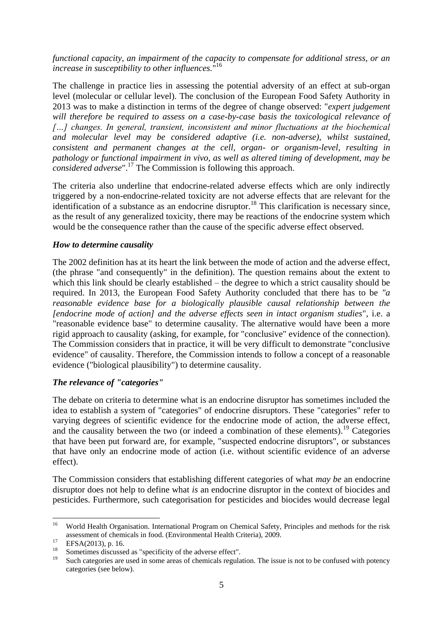*functional capacity, an impairment of the capacity to compensate for additional stress, or an increase in susceptibility to other influences.*" 16

The challenge in practice lies in assessing the potential adversity of an effect at sub-organ level (molecular or cellular level). The conclusion of the European Food Safety Authority in 2013 was to make a distinction in terms of the degree of change observed: "*expert judgement will therefore be required to assess on a case-by-case basis the toxicological relevance of […] changes. In general, transient, inconsistent and minor fluctuations at the biochemical and molecular level may be considered adaptive (i.e. non-adverse), whilst sustained, consistent and permanent changes at the cell, organ- or organism-level, resulting in pathology or functional impairment in vivo, as well as altered timing of development, may be considered adverse*".<sup>17</sup> The Commission is following this approach.

The criteria also underline that endocrine-related adverse effects which are only indirectly triggered by a non-endocrine-related toxicity are not adverse effects that are relevant for the identification of a substance as an endocrine disruptor.<sup>18</sup> This clarification is necessary since, as the result of any generalized toxicity, there may be reactions of the endocrine system which would be the consequence rather than the cause of the specific adverse effect observed.

### *How to determine causality*

The 2002 definition has at its heart the link between the mode of action and the adverse effect, (the phrase "and consequently" in the definition). The question remains about the extent to which this link should be clearly established – the degree to which a strict causality should be required. In 2013, the European Food Safety Authority concluded that there has to be *"a reasonable evidence base for a biologically plausible causal relationship between the [endocrine mode of action] and the adverse effects seen in intact organism studies*", i.e. a "reasonable evidence base" to determine causality. The alternative would have been a more rigid approach to causality (asking, for example, for "conclusive" evidence of the connection). The Commission considers that in practice, it will be very difficult to demonstrate "conclusive evidence" of causality. Therefore, the Commission intends to follow a concept of a reasonable evidence ("biological plausibility") to determine causality.

# *The relevance of "categories"*

The debate on criteria to determine what is an endocrine disruptor has sometimes included the idea to establish a system of "categories" of endocrine disruptors. These "categories" refer to varying degrees of scientific evidence for the endocrine mode of action, the adverse effect, and the causality between the two (or indeed a combination of these elements).<sup>19</sup> Categories that have been put forward are, for example, "suspected endocrine disruptors", or substances that have only an endocrine mode of action (i.e. without scientific evidence of an adverse effect).

The Commission considers that establishing different categories of what *may be* an endocrine disruptor does not help to define what *is* an endocrine disruptor in the context of biocides and pesticides. Furthermore, such categorisation for pesticides and biocides would decrease legal

 $16$ <sup>16</sup> World Health Organisation. International Program on Chemical Safety, Principles and methods for the risk assessment of chemicals in food. (Environmental Health Criteria), 2009.

 $^{17}$  EFSA(2013), p. 16.

<sup>&</sup>lt;sup>18</sup> Sometimes discussed as "specificity of the adverse effect".

Such categories are used in some areas of chemicals regulation. The issue is not to be confused with potency categories (see below).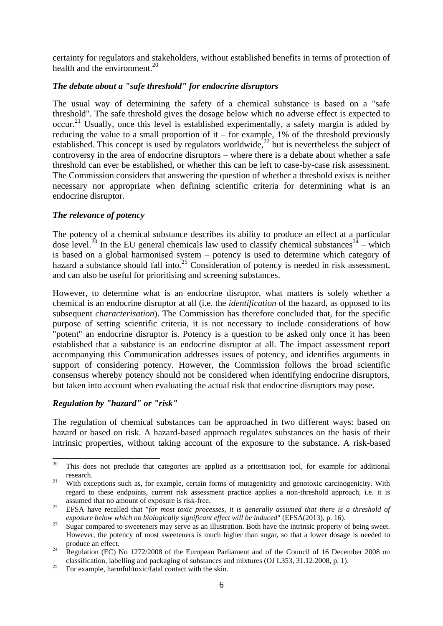certainty for regulators and stakeholders, without established benefits in terms of protection of health and the environment. $^{20}$ 

# *The debate about a "safe threshold" for endocrine disruptors*

The usual way of determining the safety of a chemical substance is based on a "safe threshold". The safe threshold gives the dosage below which no adverse effect is expected to occur.<sup>21</sup> Usually, once this level is established experimentally, a safety margin is added by reducing the value to a small proportion of it – for example, 1% of the threshold previously established. This concept is used by regulators worldwide,<sup>22</sup> but is nevertheless the subject of controversy in the area of endocrine disruptors – where there is a debate about whether a safe threshold can ever be established, or whether this can be left to case-by-case risk assessment. The Commission considers that answering the question of whether a threshold exists is neither necessary nor appropriate when defining scientific criteria for determining what is an endocrine disruptor.

# *The relevance of potency*

The potency of a chemical substance describes its ability to produce an effect at a particular dose level.<sup>23</sup> In the EU general chemicals law used to classify chemical substances<sup>24</sup> – which is based on a global harmonised system – potency is used to determine which category of hazard a substance should fall into.<sup>25</sup> Consideration of potency is needed in risk assessment, and can also be useful for prioritising and screening substances.

However, to determine what is an endocrine disruptor, what matters is solely whether a chemical is an endocrine disruptor at all (i.e. the *identification* of the hazard, as opposed to its subsequent *characterisation*). The Commission has therefore concluded that, for the specific purpose of setting scientific criteria, it is not necessary to include considerations of how "potent" an endocrine disruptor is. Potency is a question to be asked only once it has been established that a substance is an endocrine disruptor at all. The impact assessment report accompanying this Communication addresses issues of potency, and identifies arguments in support of considering potency. However, the Commission follows the broad scientific consensus whereby potency should not be considered when identifying endocrine disruptors, but taken into account when evaluating the actual risk that endocrine disruptors may pose.

# *Regulation by "hazard" or "risk"*

The regulation of chemical substances can be approached in two different ways: based on hazard or based on risk. A hazard-based approach regulates substances on the basis of their intrinsic properties, without taking account of the exposure to the substance. A risk-based

 $20$ <sup>20</sup> This does not preclude that categories are applied as a prioritisation tool, for example for additional research.

<sup>&</sup>lt;sup>21</sup> With exceptions such as, for example, certain forms of mutagenicity and genotoxic carcinogenicity. With regard to these endpoints, current risk assessment practice applies a non-threshold approach, i.e. it is assumed that no amount of exposure is risk-free.

<sup>&</sup>lt;sup>22</sup> EFSA have recalled that "*for most toxic processes, it is generally assumed that there is a threshold of exposure below which no biologically significant effect will be induced*" (EFSA(2013), p. 16).

<sup>&</sup>lt;sup>23</sup> Sugar compared to sweeteners may serve as an illustration. Both have the intrinsic property of being sweet. However, the potency of most sweeteners is much higher than sugar, so that a lower dosage is needed to produce an effect.

<sup>&</sup>lt;sup>24</sup> Regulation (EC) No 1272/2008 of the European Parliament and of the Council of 16 December 2008 on classification, labelling and packaging of substances and mixtures (OJ L353, 31.12.2008, p. 1).

 $25$  For example, harmful/toxic/fatal contact with the skin.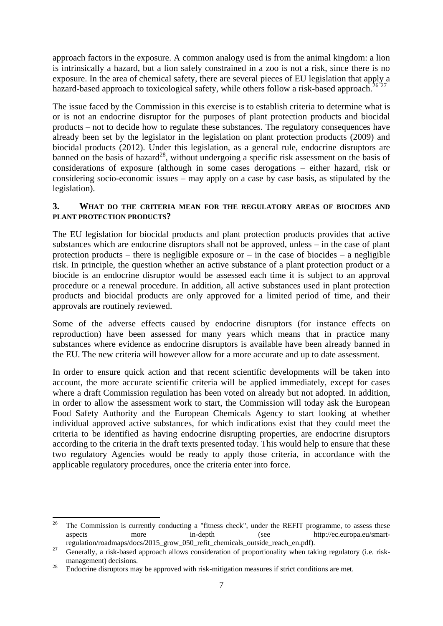approach factors in the exposure. A common analogy used is from the animal kingdom: a lion is intrinsically a hazard, but a lion safely constrained in a zoo is not a risk, since there is no exposure. In the area of chemical safety, there are several pieces of EU legislation that apply a hazard-based approach to toxicological safety, while others follow a risk-based approach.<sup>26 27</sup>

The issue faced by the Commission in this exercise is to establish criteria to determine what is or is not an endocrine disruptor for the purposes of plant protection products and biocidal products – not to decide how to regulate these substances. The regulatory consequences have already been set by the legislator in the legislation on plant protection products (2009) and biocidal products (2012). Under this legislation, as a general rule, endocrine disruptors are banned on the basis of hazard<sup>28</sup>, without undergoing a specific risk assessment on the basis of considerations of exposure (although in some cases derogations – either hazard, risk or considering socio-economic issues – may apply on a case by case basis, as stipulated by the legislation).

### **3. WHAT DO THE CRITERIA MEAN FOR THE REGULATORY AREAS OF BIOCIDES AND PLANT PROTECTION PRODUCTS?**

The EU legislation for biocidal products and plant protection products provides that active substances which are endocrine disruptors shall not be approved, unless – in the case of plant protection products – there is negligible exposure or – in the case of biocides – a negligible risk. In principle, the question whether an active substance of a plant protection product or a biocide is an endocrine disruptor would be assessed each time it is subject to an approval procedure or a renewal procedure. In addition, all active substances used in plant protection products and biocidal products are only approved for a limited period of time, and their approvals are routinely reviewed.

Some of the adverse effects caused by endocrine disruptors (for instance effects on reproduction) have been assessed for many years which means that in practice many substances where evidence as endocrine disruptors is available have been already banned in the EU. The new criteria will however allow for a more accurate and up to date assessment.

In order to ensure quick action and that recent scientific developments will be taken into account, the more accurate scientific criteria will be applied immediately, except for cases where a draft Commission regulation has been voted on already but not adopted. In addition, in order to allow the assessment work to start, the Commission will today ask the European Food Safety Authority and the European Chemicals Agency to start looking at whether individual approved active substances, for which indications exist that they could meet the criteria to be identified as having endocrine disrupting properties, are endocrine disruptors according to the criteria in the draft texts presented today. This would help to ensure that these two regulatory Agencies would be ready to apply those criteria, in accordance with the applicable regulatory procedures, once the criteria enter into force.

<sup>26</sup> <sup>26</sup> The Commission is currently conducting a "fitness check", under the REFIT programme, to assess these aspects more in-depth (see http://ec.europa.eu/smartregulation/roadmaps/docs/2015\_grow\_050\_refit\_chemicals\_outside\_reach\_en.pdf).

<sup>&</sup>lt;sup>27</sup> Generally, a risk-based approach allows consideration of proportionality when taking regulatory (i.e. riskmanagement) decisions.

<sup>&</sup>lt;sup>28</sup> Endocrine disruptors may be approved with risk-mitigation measures if strict conditions are met.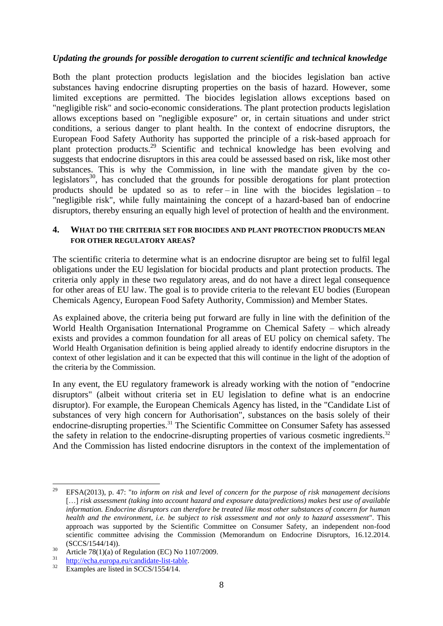### *Updating the grounds for possible derogation to current scientific and technical knowledge*

Both the plant protection products legislation and the biocides legislation ban active substances having endocrine disrupting properties on the basis of hazard. However, some limited exceptions are permitted. The biocides legislation allows exceptions based on "negligible risk" and socio-economic considerations. The plant protection products legislation allows exceptions based on "negligible exposure" or, in certain situations and under strict conditions, a serious danger to plant health. In the context of endocrine disruptors, the European Food Safety Authority has supported the principle of a risk-based approach for plant protection products.<sup>29</sup> Scientific and technical knowledge has been evolving and suggests that endocrine disruptors in this area could be assessed based on risk, like most other substances. This is why the Commission, in line with the mandate given by the colegislators<sup>30</sup>, has concluded that the grounds for possible derogations for plant protection products should be updated so as to refer – in line with the biocides legislation – to "negligible risk", while fully maintaining the concept of a hazard-based ban of endocrine disruptors, thereby ensuring an equally high level of protection of health and the environment.

#### **4. WHAT DO THE CRITERIA SET FOR BIOCIDES AND PLANT PROTECTION PRODUCTS MEAN FOR OTHER REGULATORY AREAS?**

The scientific criteria to determine what is an endocrine disruptor are being set to fulfil legal obligations under the EU legislation for biocidal products and plant protection products. The criteria only apply in these two regulatory areas, and do not have a direct legal consequence for other areas of EU law. The goal is to provide criteria to the relevant EU bodies (European Chemicals Agency, European Food Safety Authority, Commission) and Member States.

As explained above, the criteria being put forward are fully in line with the definition of the World Health Organisation International Programme on Chemical Safety – which already exists and provides a common foundation for all areas of EU policy on chemical safety. The World Health Organisation definition is being applied already to identify endocrine disruptors in the context of other legislation and it can be expected that this will continue in the light of the adoption of the criteria by the Commission.

In any event, the EU regulatory framework is already working with the notion of "endocrine disruptors" (albeit without criteria set in EU legislation to define what is an endocrine disruptor). For example, the European Chemicals Agency has listed, in the "Candidate List of substances of very high concern for Authorisation", substances on the basis solely of their endocrine-disrupting properties.<sup>31</sup> The Scientific Committee on Consumer Safety has assessed the safety in relation to the endocrine-disrupting properties of various cosmetic ingredients.<sup>32</sup> And the Commission has listed endocrine disruptors in the context of the implementation of

 $29$ <sup>29</sup> EFSA(2013), p. 47: "*to inform on risk and level of concern for the purpose of risk management decisions*  [...] *risk assessment (taking into account hazard and exposure data/predictions) makes best use of available information. Endocrine disruptors can therefore be treated like most other substances of concern for human health and the environment, i.e. be subject to risk assessment and not only to hazard assessment*". This approach was supported by the Scientific Committee on Consumer Safety, an independent non-food scientific committee advising the Commission (Memorandum on Endocrine Disruptors, 16.12.2014. (SCCS/1544/14)).

<sup>&</sup>lt;sup>30</sup> Article 78(1)(a) of Regulation (EC) No 1107/2009.

 $\frac{31}{32}$  [http://echa.europa.eu/candidate-list-table.](http://echa.europa.eu/candidate-list-table)

Examples are listed in SCCS/1554/14.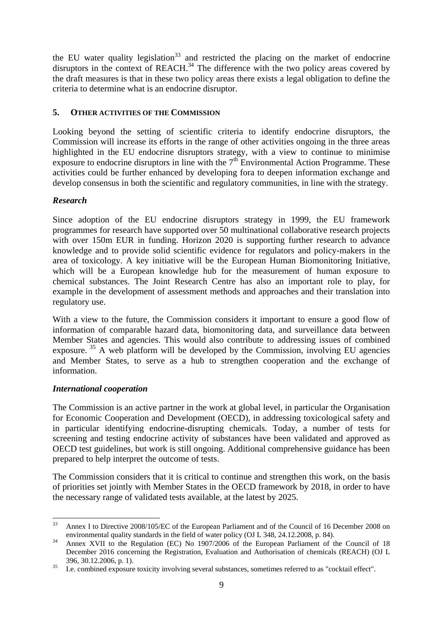the EU water quality legislation<sup>33</sup> and restricted the placing on the market of endocrine disruptors in the context of  $REACH<sup>34</sup>$ . The difference with the two policy areas covered by the draft measures is that in these two policy areas there exists a legal obligation to define the criteria to determine what is an endocrine disruptor.

# **5. OTHER ACTIVITIES OF THE COMMISSION**

Looking beyond the setting of scientific criteria to identify endocrine disruptors, the Commission will increase its efforts in the range of other activities ongoing in the three areas highlighted in the EU endocrine disruptors strategy, with a view to continue to minimise exposure to endocrine disruptors in line with the  $7<sup>th</sup>$  Environmental Action Programme. These activities could be further enhanced by developing fora to deepen information exchange and develop consensus in both the scientific and regulatory communities, in line with the strategy.

# *Research*

Since adoption of the EU endocrine disruptors strategy in 1999, the EU framework programmes for research have supported over 50 multinational collaborative research projects with over 150m EUR in funding. Horizon 2020 is supporting further research to advance knowledge and to provide solid scientific evidence for regulators and policy-makers in the area of toxicology. A key initiative will be the European Human Biomonitoring Initiative, which will be a European knowledge hub for the measurement of human exposure to chemical substances. The Joint Research Centre has also an important role to play, for example in the development of assessment methods and approaches and their translation into regulatory use.

With a view to the future, the Commission considers it important to ensure a good flow of information of comparable hazard data, biomonitoring data, and surveillance data between Member States and agencies. This would also contribute to addressing issues of combined exposure.  $35$  A web platform will be developed by the Commission, involving EU agencies and Member States, to serve as a hub to strengthen cooperation and the exchange of information.

# *International cooperation*

The Commission is an active partner in the work at global level, in particular the Organisation for Economic Cooperation and Development (OECD), in addressing toxicological safety and in particular identifying endocrine-disrupting chemicals. Today, a number of tests for screening and testing endocrine activity of substances have been validated and approved as OECD test guidelines, but work is still ongoing. Additional comprehensive guidance has been prepared to help interpret the outcome of tests.

The Commission considers that it is critical to continue and strengthen this work, on the basis of priorities set jointly with Member States in the OECD framework by 2018, in order to have the necessary range of validated tests available, at the latest by 2025.

<sup>33</sup> <sup>33</sup> Annex I to Directive 2008/105/EC of the European Parliament and of the Council of 16 December 2008 on environmental quality standards in the field of water policy (OJ L 348, 24.12.2008, p. 84).

<sup>&</sup>lt;sup>34</sup> Annex XVII to the Regulation (EC) No 1907/2006 of the European Parliament of the Council of 18 December 2016 concerning the Registration, Evaluation and Authorisation of chemicals (REACH) (OJ L 396, 30.12.2006, p. 1).

<sup>&</sup>lt;sup>35</sup> I.e. combined exposure toxicity involving several substances, sometimes referred to as "cocktail effect".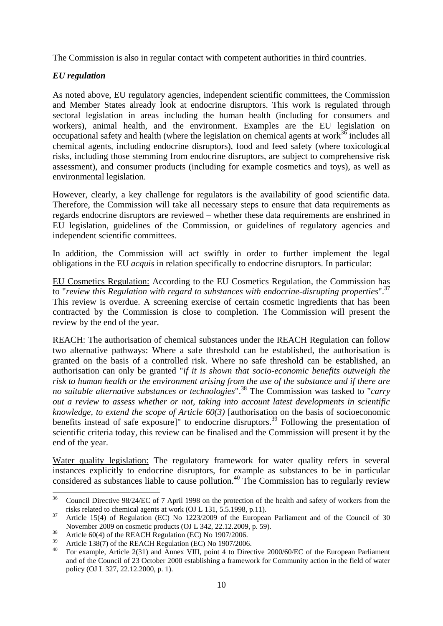The Commission is also in regular contact with competent authorities in third countries.

# *EU regulation*

As noted above, EU regulatory agencies, independent scientific committees, the Commission and Member States already look at endocrine disruptors. This work is regulated through sectoral legislation in areas including the human health (including for consumers and workers), animal health, and the environment. Examples are the EU legislation on occupational safety and health (where the legislation on chemical agents at work $36$  includes all chemical agents, including endocrine disruptors), food and feed safety (where toxicological risks, including those stemming from endocrine disruptors, are subject to comprehensive risk assessment), and consumer products (including for example cosmetics and toys), as well as environmental legislation.

However, clearly, a key challenge for regulators is the availability of good scientific data. Therefore, the Commission will take all necessary steps to ensure that data requirements as regards endocrine disruptors are reviewed – whether these data requirements are enshrined in EU legislation, guidelines of the Commission, or guidelines of regulatory agencies and independent scientific committees.

In addition, the Commission will act swiftly in order to further implement the legal obligations in the EU *acquis* in relation specifically to endocrine disruptors. In particular:

EU Cosmetics Regulation: According to the EU Cosmetics Regulation, the Commission has to "*review this Regulation with regard to substances with endocrine-disrupting properties*".<sup>37</sup> This review is overdue. A screening exercise of certain cosmetic ingredients that has been contracted by the Commission is close to completion. The Commission will present the review by the end of the year.

REACH: The authorisation of chemical substances under the REACH Regulation can follow two alternative pathways: Where a safe threshold can be established, the authorisation is granted on the basis of a controlled risk. Where no safe threshold can be established, an authorisation can only be granted "*if it is shown that socio-economic benefits outweigh the risk to human health or the environment arising from the use of the substance and if there are no suitable alternative substances or technologies*".<sup>38</sup> The Commission was tasked to "*carry out a review to assess whether or not, taking into account latest developments in scientific knowledge, to extend the scope of Article 60(3)* [authorisation on the basis of socioeconomic benefits instead of safe exposure]" to endocrine disruptors.<sup>39</sup> Following the presentation of scientific criteria today, this review can be finalised and the Commission will present it by the end of the year.

Water quality legislation: The regulatory framework for water quality refers in several instances explicitly to endocrine disruptors, for example as substances to be in particular considered as substances liable to cause pollution.<sup>40</sup> The Commission has to regularly review

 $36\,$ <sup>36</sup> Council Directive 98/24/EC of 7 April 1998 on the protection of the health and safety of workers from the risks related to chemical agents at work (OJ L 131, 5.5.1998, p.11).

<sup>&</sup>lt;sup>37</sup> Article 15(4) of Regulation (EC) No 1223/2009 of the European Parliament and of the Council of 30 November 2009 on cosmetic products (OJ L 342, 22.12.2009, p. 59).

<sup>38</sup> Article 60(4) of the REACH Regulation (EC) No 1907/2006.

<sup>&</sup>lt;sup>39</sup> Article 138(7) of the REACH Regulation (EC) No 1907/2006.

<sup>40</sup> For example, Article 2(31) and Annex VIII, point 4 to Directive 2000/60/EC of the European Parliament and of the Council of 23 October 2000 establishing a framework for Community action in the field of water policy (OJ L 327, 22.12.2000, p. 1).